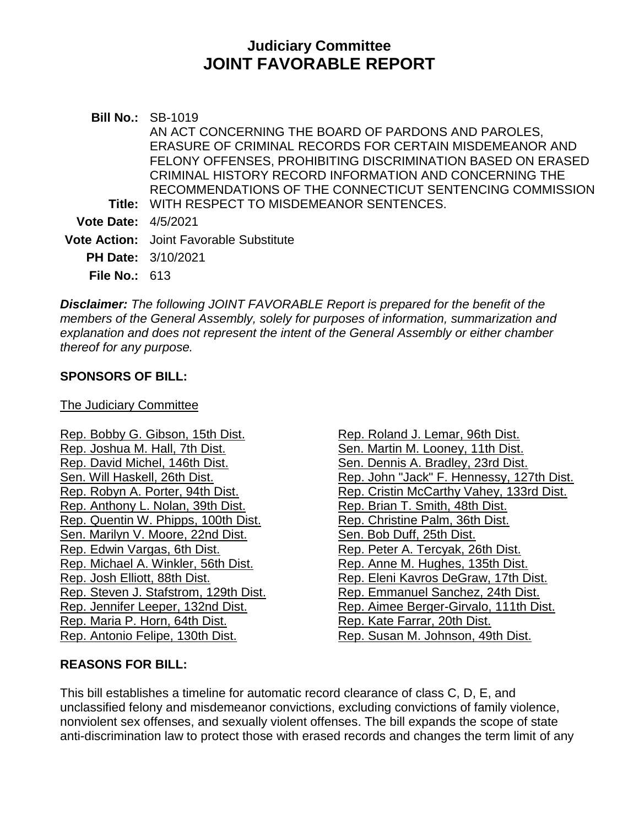# **Judiciary Committee JOINT FAVORABLE REPORT**

**Bill No.:** SB-1019 **Title:** WITH RESPECT TO MISDEMEANOR SENTENCES. AN ACT CONCERNING THE BOARD OF PARDONS AND PAROLES, ERASURE OF CRIMINAL RECORDS FOR CERTAIN MISDEMEANOR AND FELONY OFFENSES, PROHIBITING DISCRIMINATION BASED ON ERASED CRIMINAL HISTORY RECORD INFORMATION AND CONCERNING THE RECOMMENDATIONS OF THE CONNECTICUT SENTENCING COMMISSION **Vote Date:** 4/5/2021 **Vote Action:** Joint Favorable Substitute **PH Date:** 3/10/2021 **File No.:** 613

*Disclaimer: The following JOINT FAVORABLE Report is prepared for the benefit of the members of the General Assembly, solely for purposes of information, summarization and explanation and does not represent the intent of the General Assembly or either chamber thereof for any purpose.*

#### **SPONSORS OF BILL:**

The Judiciary Committee

[Rep. Bobby G. Gibson, 15th Dist.](https://www.cga.ct.gov/asp/CGABillStatus/CGAMemberBills.asp?dist_code=) [Rep. Joshua M. Hall, 7th Dist.](https://www.cga.ct.gov/asp/CGABillStatus/CGAMemberBills.asp?dist_code=) [Rep. David Michel, 146th Dist.](https://www.cga.ct.gov/asp/CGABillStatus/CGAMemberBills.asp?dist_code=) [Sen. Will Haskell, 26th Dist.](https://www.cga.ct.gov/asp/CGABillStatus/CGAMemberBills.asp?dist_code=) [Rep. Robyn A. Porter, 94th Dist.](https://www.cga.ct.gov/asp/CGABillStatus/CGAMemberBills.asp?dist_code=) [Rep. Anthony L. Nolan, 39th Dist.](https://www.cga.ct.gov/asp/CGABillStatus/CGAMemberBills.asp?dist_code=) [Rep. Quentin W. Phipps, 100th Dist.](https://www.cga.ct.gov/asp/CGABillStatus/CGAMemberBills.asp?dist_code=) [Sen. Marilyn V. Moore, 22nd Dist.](https://www.cga.ct.gov/asp/CGABillStatus/CGAMemberBills.asp?dist_code=) [Rep. Edwin Vargas, 6th Dist.](https://www.cga.ct.gov/asp/CGABillStatus/CGAMemberBills.asp?dist_code=) [Rep. Michael A. Winkler, 56th Dist.](https://www.cga.ct.gov/asp/CGABillStatus/CGAMemberBills.asp?dist_code=) [Rep. Josh Elliott, 88th Dist.](https://www.cga.ct.gov/asp/CGABillStatus/CGAMemberBills.asp?dist_code=) [Rep. Steven J. Stafstrom, 129th Dist.](https://www.cga.ct.gov/asp/CGABillStatus/CGAMemberBills.asp?dist_code=) [Rep. Jennifer Leeper, 132nd Dist.](https://www.cga.ct.gov/asp/CGABillStatus/CGAMemberBills.asp?dist_code=) [Rep. Maria P. Horn, 64th Dist.](https://www.cga.ct.gov/asp/CGABillStatus/CGAMemberBills.asp?dist_code=) [Rep. Antonio Felipe, 130th Dist.](https://www.cga.ct.gov/asp/CGABillStatus/CGAMemberBills.asp?dist_code=)

[Rep. Roland J. Lemar, 96th Dist.](https://www.cga.ct.gov/asp/CGABillStatus/CGAMemberBills.asp?dist_code=) [Sen. Martin M. Looney, 11th Dist.](https://www.cga.ct.gov/asp/CGABillStatus/CGAMemberBills.asp?dist_code=) [Sen. Dennis A. Bradley, 23rd Dist.](https://www.cga.ct.gov/asp/CGABillStatus/CGAMemberBills.asp?dist_code=) [Rep. John "Jack" F. Hennessy, 127th Dist.](https://www.cga.ct.gov/asp/CGABillStatus/CGAMemberBills.asp?dist_code=) [Rep. Cristin McCarthy Vahey, 133rd Dist.](https://www.cga.ct.gov/asp/CGABillStatus/CGAMemberBills.asp?dist_code=) [Rep. Brian T. Smith, 48th Dist.](https://www.cga.ct.gov/asp/CGABillStatus/CGAMemberBills.asp?dist_code=) [Rep. Christine Palm, 36th Dist.](https://www.cga.ct.gov/asp/CGABillStatus/CGAMemberBills.asp?dist_code=) [Sen. Bob Duff, 25th Dist.](https://www.cga.ct.gov/asp/CGABillStatus/CGAMemberBills.asp?dist_code=) [Rep. Peter A. Tercyak, 26th Dist.](https://www.cga.ct.gov/asp/CGABillStatus/CGAMemberBills.asp?dist_code=) [Rep. Anne M. Hughes, 135th Dist.](https://www.cga.ct.gov/asp/CGABillStatus/CGAMemberBills.asp?dist_code=) [Rep. Eleni Kavros DeGraw, 17th Dist.](https://www.cga.ct.gov/asp/CGABillStatus/CGAMemberBills.asp?dist_code=) [Rep. Emmanuel Sanchez, 24th Dist.](https://www.cga.ct.gov/asp/CGABillStatus/CGAMemberBills.asp?dist_code=) [Rep. Aimee Berger-Girvalo, 111th Dist.](https://www.cga.ct.gov/asp/CGABillStatus/CGAMemberBills.asp?dist_code=) [Rep. Kate Farrar, 20th Dist.](https://www.cga.ct.gov/asp/CGABillStatus/CGAMemberBills.asp?dist_code=) [Rep. Susan M. Johnson, 49th Dist.](https://www.cga.ct.gov/asp/CGABillStatus/CGAMemberBills.asp?dist_code=)

#### **REASONS FOR BILL:**

This bill establishes a timeline for automatic record clearance of class C, D, E, and unclassified felony and misdemeanor convictions, excluding convictions of family violence, nonviolent sex offenses, and sexually violent offenses. The bill expands the scope of state anti-discrimination law to protect those with erased records and changes the term limit of any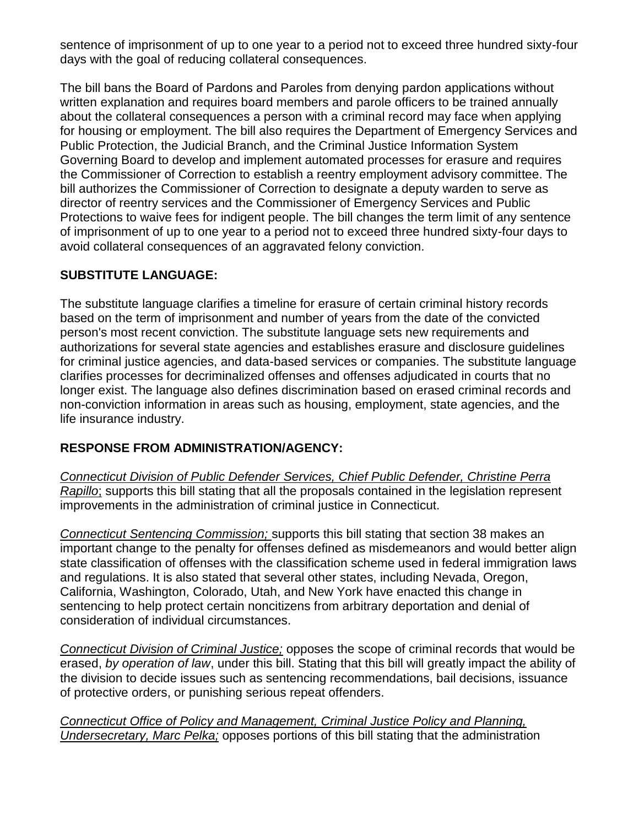sentence of imprisonment of up to one year to a period not to exceed three hundred sixty-four days with the goal of reducing collateral consequences.

The bill bans the Board of Pardons and Paroles from denying pardon applications without written explanation and requires board members and parole officers to be trained annually about the collateral consequences a person with a criminal record may face when applying for housing or employment. The bill also requires the Department of Emergency Services and Public Protection, the Judicial Branch, and the Criminal Justice Information System Governing Board to develop and implement automated processes for erasure and requires the Commissioner of Correction to establish a reentry employment advisory committee. The bill authorizes the Commissioner of Correction to designate a deputy warden to serve as director of reentry services and the Commissioner of Emergency Services and Public Protections to waive fees for indigent people. The bill changes the term limit of any sentence of imprisonment of up to one year to a period not to exceed three hundred sixty-four days to avoid collateral consequences of an aggravated felony conviction.

### **SUBSTITUTE LANGUAGE:**

The substitute language clarifies a timeline for erasure of certain criminal history records based on the term of imprisonment and number of years from the date of the convicted person's most recent conviction. The substitute language sets new requirements and authorizations for several state agencies and establishes erasure and disclosure guidelines for criminal justice agencies, and data-based services or companies. The substitute language clarifies processes for decriminalized offenses and offenses adjudicated in courts that no longer exist. The language also defines discrimination based on erased criminal records and non-conviction information in areas such as housing, employment, state agencies, and the life insurance industry.

#### **RESPONSE FROM ADMINISTRATION/AGENCY:**

*Connecticut Division of Public Defender Services, Chief Public Defender, Christine Perra Rapillo*; supports this bill stating that all the proposals contained in the legislation represent improvements in the administration of criminal justice in Connecticut.

*Connecticut Sentencing Commission;* supports this bill stating that section 38 makes an important change to the penalty for offenses defined as misdemeanors and would better align state classification of offenses with the classification scheme used in federal immigration laws and regulations. It is also stated that several other states, including Nevada, Oregon, California, Washington, Colorado, Utah, and New York have enacted this change in sentencing to help protect certain noncitizens from arbitrary deportation and denial of consideration of individual circumstances.

*Connecticut Division of Criminal Justice;* opposes the scope of criminal records that would be erased, *by operation of law*, under this bill. Stating that this bill will greatly impact the ability of the division to decide issues such as sentencing recommendations, bail decisions, issuance of protective orders, or punishing serious repeat offenders.

*Connecticut Office of Policy and Management, Criminal Justice Policy and Planning, Undersecretary, Marc Pelka;* opposes portions of this bill stating that the administration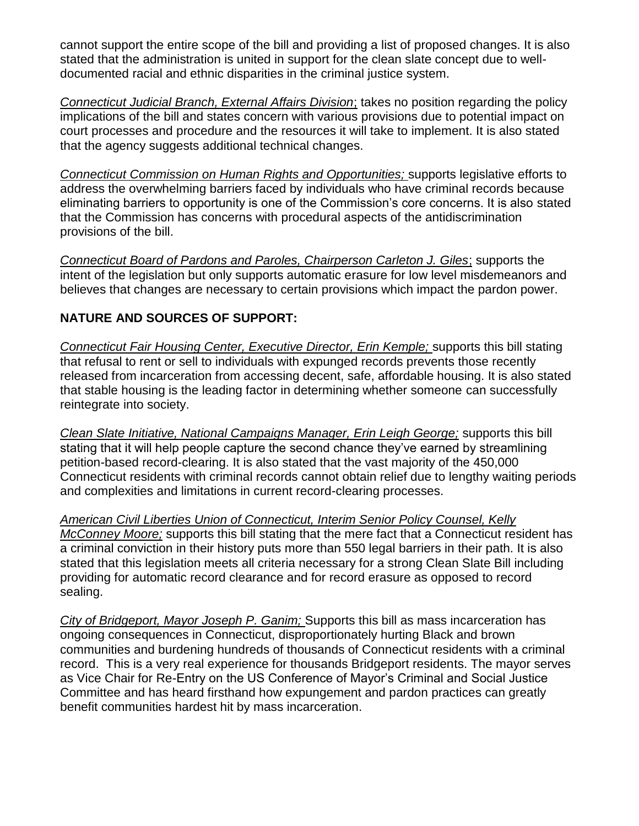cannot support the entire scope of the bill and providing a list of proposed changes. It is also stated that the administration is united in support for the clean slate concept due to welldocumented racial and ethnic disparities in the criminal justice system.

*Connecticut Judicial Branch, External Affairs Division*; takes no position regarding the policy implications of the bill and states concern with various provisions due to potential impact on court processes and procedure and the resources it will take to implement. It is also stated that the agency suggests additional technical changes.

*Connecticut Commission on Human Rights and Opportunities;* supports legislative efforts to address the overwhelming barriers faced by individuals who have criminal records because eliminating barriers to opportunity is one of the Commission's core concerns. It is also stated that the Commission has concerns with procedural aspects of the antidiscrimination provisions of the bill.

*Connecticut Board of Pardons and Paroles, Chairperson Carleton J. Giles*; supports the intent of the legislation but only supports automatic erasure for low level misdemeanors and believes that changes are necessary to certain provisions which impact the pardon power.

## **NATURE AND SOURCES OF SUPPORT:**

*Connecticut Fair Housing Center, Executive Director, Erin Kemple;* supports this bill stating that refusal to rent or sell to individuals with expunged records prevents those recently released from incarceration from accessing decent, safe, affordable housing. It is also stated that stable housing is the leading factor in determining whether someone can successfully reintegrate into society.

*Clean Slate Initiative, National Campaigns Manager, Erin Leigh George;* supports this bill stating that it will help people capture the second chance they've earned by streamlining petition-based record-clearing. It is also stated that the vast majority of the 450,000 Connecticut residents with criminal records cannot obtain relief due to lengthy waiting periods and complexities and limitations in current record-clearing processes.

*American Civil Liberties Union of Connecticut, Interim Senior Policy Counsel, Kelly McConney Moore;* supports this bill stating that the mere fact that a Connecticut resident has a criminal conviction in their history puts more than 550 legal barriers in their path. It is also stated that this legislation meets all criteria necessary for a strong Clean Slate Bill including providing for automatic record clearance and for record erasure as opposed to record sealing.

*City of Bridgeport, Mayor Joseph P. Ganim;* Supports this bill as mass incarceration has ongoing consequences in Connecticut, disproportionately hurting Black and brown communities and burdening hundreds of thousands of Connecticut residents with a criminal record. This is a very real experience for thousands Bridgeport residents. The mayor serves as Vice Chair for Re-Entry on the US Conference of Mayor's Criminal and Social Justice Committee and has heard firsthand how expungement and pardon practices can greatly benefit communities hardest hit by mass incarceration.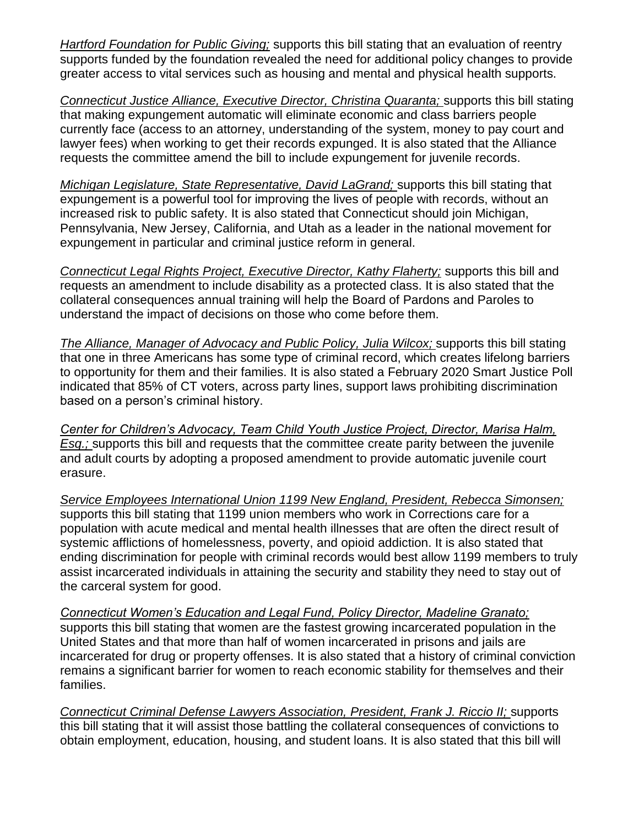*Hartford Foundation for Public Giving;* supports this bill stating that an evaluation of reentry supports funded by the foundation revealed the need for additional policy changes to provide greater access to vital services such as housing and mental and physical health supports.

*Connecticut Justice Alliance, Executive Director, Christina Quaranta;* supports this bill stating that making expungement automatic will eliminate economic and class barriers people currently face (access to an attorney, understanding of the system, money to pay court and lawyer fees) when working to get their records expunged. It is also stated that the Alliance requests the committee amend the bill to include expungement for juvenile records.

*Michigan Legislature, State Representative, David LaGrand;* supports this bill stating that expungement is a powerful tool for improving the lives of people with records, without an increased risk to public safety. It is also stated that Connecticut should join Michigan, Pennsylvania, New Jersey, California, and Utah as a leader in the national movement for expungement in particular and criminal justice reform in general.

*Connecticut Legal Rights Project, Executive Director, Kathy Flaherty;* supports this bill and requests an amendment to include disability as a protected class. It is also stated that the collateral consequences annual training will help the Board of Pardons and Paroles to understand the impact of decisions on those who come before them.

*The Alliance, Manager of Advocacy and Public Policy, Julia Wilcox;* supports this bill stating that one in three Americans has some type of criminal record, which creates lifelong barriers to opportunity for them and their families. It is also stated a February 2020 Smart Justice Poll indicated that 85% of CT voters, across party lines, support laws prohibiting discrimination based on a person's criminal history.

*Center for Children's Advocacy, Team Child Youth Justice Project, Director, Marisa Halm, Esq.;* supports this bill and requests that the committee create parity between the juvenile and adult courts by adopting a proposed amendment to provide automatic juvenile court erasure.

*Service Employees International Union 1199 New England, President, Rebecca Simonsen;* supports this bill stating that 1199 union members who work in Corrections care for a population with acute medical and mental health illnesses that are often the direct result of systemic afflictions of homelessness, poverty, and opioid addiction. It is also stated that ending discrimination for people with criminal records would best allow 1199 members to truly assist incarcerated individuals in attaining the security and stability they need to stay out of the carceral system for good.

*Connecticut Women's Education and Legal Fund, Policy Director, Madeline Granato;* supports this bill stating that women are the fastest growing incarcerated population in the United States and that more than half of women incarcerated in prisons and jails are incarcerated for drug or property offenses. It is also stated that a history of criminal conviction remains a significant barrier for women to reach economic stability for themselves and their families.

*Connecticut Criminal Defense Lawyers Association, President, Frank J. Riccio II;* supports this bill stating that it will assist those battling the collateral consequences of convictions to obtain employment, education, housing, and student loans. It is also stated that this bill will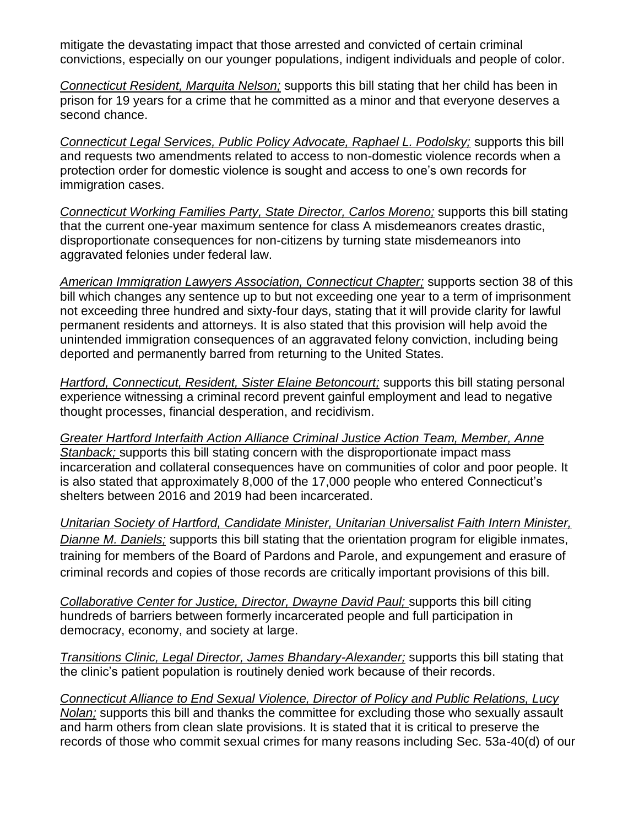mitigate the devastating impact that those arrested and convicted of certain criminal convictions, especially on our younger populations, indigent individuals and people of color.

*Connecticut Resident, Marquita Nelson;* supports this bill stating that her child has been in prison for 19 years for a crime that he committed as a minor and that everyone deserves a second chance.

*Connecticut Legal Services, Public Policy Advocate, Raphael L. Podolsky;* supports this bill and requests two amendments related to access to non-domestic violence records when a protection order for domestic violence is sought and access to one's own records for immigration cases.

*Connecticut Working Families Party, State Director, Carlos Moreno;* supports this bill stating that the current one-year maximum sentence for class A misdemeanors creates drastic, disproportionate consequences for non-citizens by turning state misdemeanors into aggravated felonies under federal law.

*American Immigration Lawyers Association, Connecticut Chapter;* supports section 38 of this bill which changes any sentence up to but not exceeding one year to a term of imprisonment not exceeding three hundred and sixty-four days, stating that it will provide clarity for lawful permanent residents and attorneys. It is also stated that this provision will help avoid the unintended immigration consequences of an aggravated felony conviction, including being deported and permanently barred from returning to the United States.

*Hartford, Connecticut, Resident, Sister Elaine Betoncourt;* supports this bill stating personal experience witnessing a criminal record prevent gainful employment and lead to negative thought processes, financial desperation, and recidivism.

*Greater Hartford Interfaith Action Alliance Criminal Justice Action Team, Member, Anne Stanback;* supports this bill stating concern with the disproportionate impact mass incarceration and collateral consequences have on communities of color and poor people. It is also stated that approximately 8,000 of the 17,000 people who entered Connecticut's shelters between 2016 and 2019 had been incarcerated.

*Unitarian Society of Hartford, Candidate Minister, Unitarian Universalist Faith Intern Minister, Dianne M. Daniels;* supports this bill stating that the orientation program for eligible inmates, training for members of the Board of Pardons and Parole, and expungement and erasure of criminal records and copies of those records are critically important provisions of this bill.

*Collaborative Center for Justice, Director, Dwayne David Paul;* supports this bill citing hundreds of barriers between formerly incarcerated people and full participation in democracy, economy, and society at large.

*Transitions Clinic, Legal Director, James Bhandary-Alexander;* supports this bill stating that the clinic's patient population is routinely denied work because of their records.

*Connecticut Alliance to End Sexual Violence, Director of Policy and Public Relations, Lucy Nolan;* supports this bill and thanks the committee for excluding those who sexually assault and harm others from clean slate provisions. It is stated that it is critical to preserve the records of those who commit sexual crimes for many reasons including Sec. 53a-40(d) of our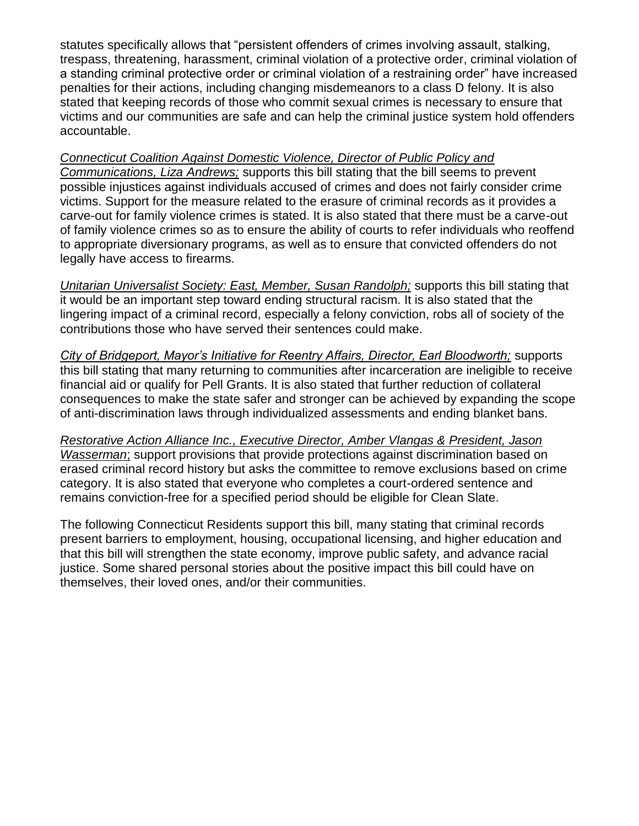statutes specifically allows that "persistent offenders of crimes involving assault, stalking, trespass, threatening, harassment, criminal violation of a protective order, criminal violation of a standing criminal protective order or criminal violation of a restraining order" have increased penalties for their actions, including changing misdemeanors to a class D felony. It is also stated that keeping records of those who commit sexual crimes is necessary to ensure that victims and our communities are safe and can help the criminal justice system hold offenders accountable.

#### *Connecticut Coalition Against Domestic Violence, Director of Public Policy and*

*Communications, Liza Andrews;* supports this bill stating that the bill seems to prevent possible injustices against individuals accused of crimes and does not fairly consider crime victims. Support for the measure related to the erasure of criminal records as it provides a carve-out for family violence crimes is stated. It is also stated that there must be a carve-out of family violence crimes so as to ensure the ability of courts to refer individuals who reoffend to appropriate diversionary programs, as well as to ensure that convicted offenders do not legally have access to firearms.

*Unitarian Universalist Society: East, Member, Susan Randolph;* supports this bill stating that it would be an important step toward ending structural racism. It is also stated that the lingering impact of a criminal record, especially a felony conviction, robs all of society of the contributions those who have served their sentences could make.

*City of Bridgeport, Mayor's Initiative for Reentry Affairs, Director, Earl Bloodworth;* supports this bill stating that many returning to communities after incarceration are ineligible to receive financial aid or qualify for Pell Grants. It is also stated that further reduction of collateral consequences to make the state safer and stronger can be achieved by expanding the scope of anti-discrimination laws through individualized assessments and ending blanket bans.

*Restorative Action Alliance Inc., Executive Director, Amber Vlangas & President, Jason Wasserman*; support provisions that provide protections against discrimination based on erased criminal record history but asks the committee to remove exclusions based on crime category. It is also stated that everyone who completes a court-ordered sentence and remains conviction-free for a specified period should be eligible for Clean Slate.

The following Connecticut Residents support this bill, many stating that criminal records present barriers to employment, housing, occupational licensing, and higher education and that this bill will strengthen the state economy, improve public safety, and advance racial justice. Some shared personal stories about the positive impact this bill could have on themselves, their loved ones, and/or their communities.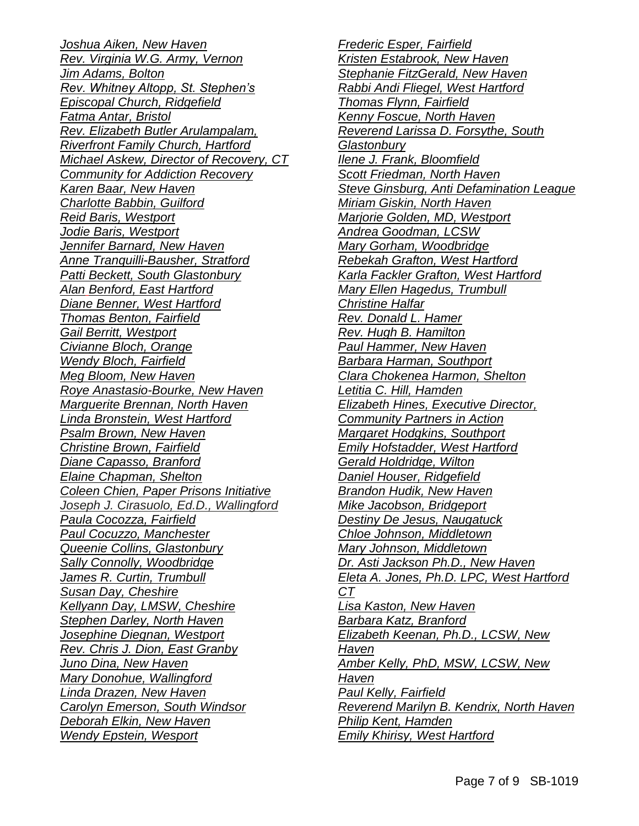*Joshua Aiken, New Haven Rev. Virginia W.G. Army, Vernon Jim Adams, Bolton Rev. Whitney Altopp, St. Stephen's Episcopal Church, Ridgefield Fatma Antar, Bristol Rev. Elizabeth Butler Arulampalam, Riverfront Family Church, Hartford Michael Askew, Director of Recovery, CT Community for Addiction Recovery Karen Baar, New Haven Charlotte Babbin, Guilford Reid Baris, Westport Jodie Baris, Westport Jennifer Barnard, New Haven Anne Tranquilli-Bausher, Stratford Patti Beckett, South Glastonbury Alan Benford, East Hartford Diane Benner, West Hartford Thomas Benton, Fairfield Gail Berritt, Westport Civianne Bloch, Orange Wendy Bloch, Fairfield Meg Bloom, New Haven Roye Anastasio-Bourke, New Haven Marguerite Brennan, North Haven Linda Bronstein, West Hartford Psalm Brown, New Haven Christine Brown, Fairfield Diane Capasso, Branford Elaine Chapman, Shelton Coleen Chien, Paper Prisons Initiative Joseph J. Cirasuolo, Ed.D., Wallingford Paula Cocozza, Fairfield Paul Cocuzzo, Manchester Queenie Collins, Glastonbury Sally Connolly, Woodbridge James R. Curtin, Trumbull Susan Day, Cheshire Kellyann Day, LMSW, Cheshire Stephen Darley, North Haven Josephine Diegnan, Westport Rev. Chris J. Dion, East Granby Juno Dina, New Haven Mary Donohue, Wallingford Linda Drazen, New Haven Carolyn Emerson, South Windsor Deborah Elkin, New Haven Wendy Epstein, Wesport*

*Frederic Esper, Fairfield Kristen Estabrook, New Haven Stephanie FitzGerald, New Haven Rabbi Andi Fliegel, West Hartford Thomas Flynn, Fairfield Kenny Foscue, North Haven Reverend Larissa D. Forsythe, South Glastonbury Ilene J. Frank, Bloomfield Scott Friedman, North Haven Steve Ginsburg, Anti Defamination League Miriam Giskin, North Haven Marjorie Golden, MD, Westport Andrea Goodman, LCSW Mary Gorham, Woodbridge Rebekah Grafton, West Hartford Karla Fackler Grafton, West Hartford Mary Ellen Hagedus, Trumbull Christine Halfar Rev. Donald L. Hamer Rev. Hugh B. Hamilton Paul Hammer, New Haven Barbara Harman, Southport Clara Chokenea Harmon, Shelton Letitia C. Hill, Hamden Elizabeth Hines, Executive Director, Community Partners in Action Margaret Hodgkins, Southport Emily Hofstadder, West Hartford Gerald Holdridge, Wilton Daniel Houser, Ridgefield Brandon Hudik, New Haven Mike Jacobson, Bridgeport Destiny De Jesus, Naugatuck Chloe Johnson, Middletown Mary Johnson, Middletown Dr. Asti Jackson Ph.D., New Haven Eleta A. Jones, Ph.D. LPC, West Hartford CT Lisa Kaston, New Haven Barbara Katz, Branford Elizabeth Keenan, Ph.D., LCSW, New Haven Amber Kelly, PhD, MSW, LCSW, New Haven Paul Kelly, Fairfield Reverend Marilyn B. Kendrix, North Haven Philip Kent, Hamden Emily Khirisy, West Hartford*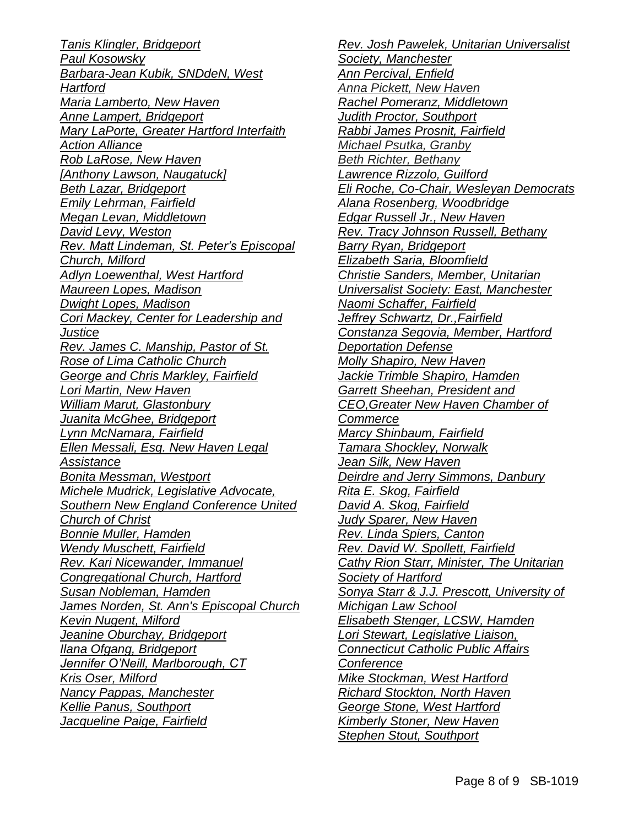*Tanis Klingler, Bridgeport Paul Kosowsky Barbara-Jean Kubik, SNDdeN, West Hartford Maria Lamberto, New Haven Anne Lampert, Bridgeport Mary LaPorte, Greater Hartford Interfaith Action Alliance Rob LaRose, New Haven [Anthony Lawson, Naugatuck] Beth Lazar, Bridgeport Emily Lehrman, Fairfield Megan Levan, Middletown David Levy, Weston Rev. Matt Lindeman, St. Peter's Episcopal Church, Milford Adlyn Loewenthal, West Hartford Maureen Lopes, Madison Dwight Lopes, Madison Cori Mackey, Center for Leadership and Justice Rev. James C. Manship, Pastor of St. Rose of Lima Catholic Church George and Chris Markley, Fairfield Lori Martin, New Haven William Marut, Glastonbury Juanita McGhee, Bridgeport Lynn McNamara, Fairfield Ellen Messali, Esq. New Haven Legal Assistance Bonita Messman, Westport Michele Mudrick, Legislative Advocate, Southern New England Conference United Church of Christ Bonnie Muller, Hamden Wendy Muschett, Fairfield Rev. Kari Nicewander, Immanuel Congregational Church, Hartford Susan Nobleman, Hamden James Norden, St. Ann's Episcopal Church Kevin Nugent, Milford Jeanine Oburchay, Bridgeport Ilana Ofgang, Bridgeport Jennifer O'Neill, Marlborough, CT Kris Oser, Milford Nancy Pappas, Manchester Kellie Panus, Southport Jacqueline Paige, Fairfield* 

*Rev. Josh Pawelek, Unitarian Universalist Society, Manchester Ann Percival, Enfield Anna Pickett, New Haven Rachel Pomeranz, Middletown Judith Proctor, Southport Rabbi James Prosnit, Fairfield Michael Psutka, Granby Beth Richter, Bethany Lawrence Rizzolo, Guilford Eli Roche, Co-Chair, Wesleyan Democrats Alana Rosenberg, Woodbridge Edgar Russell Jr., New Haven Rev. Tracy Johnson Russell, Bethany Barry Ryan, Bridgeport Elizabeth Saria, Bloomfield Christie Sanders, Member, Unitarian Universalist Society: East, Manchester Naomi Schaffer, Fairfield Jeffrey Schwartz, Dr.,Fairfield Constanza Segovia, Member, Hartford Deportation Defense Molly Shapiro, New Haven Jackie Trimble Shapiro, Hamden Garrett Sheehan, President and CEO,Greater New Haven Chamber of Commerce Marcy Shinbaum, Fairfield Tamara Shockley, Norwalk Jean Silk, New Haven Deirdre and Jerry Simmons, Danbury Rita E. Skog, Fairfield David A. Skog, Fairfield Judy Sparer, New Haven Rev. Linda Spiers, Canton Rev. David W. Spollett, Fairfield Cathy Rion Starr, Minister, The Unitarian Society of Hartford Sonya Starr & J.J. Prescott, University of Michigan Law School Elisabeth Stenger, LCSW, Hamden Lori Stewart, Legislative Liaison, Connecticut Catholic Public Affairs Conference Mike Stockman, West Hartford Richard Stockton, North Haven George Stone, West Hartford Kimberly Stoner, New Haven Stephen Stout, Southport*